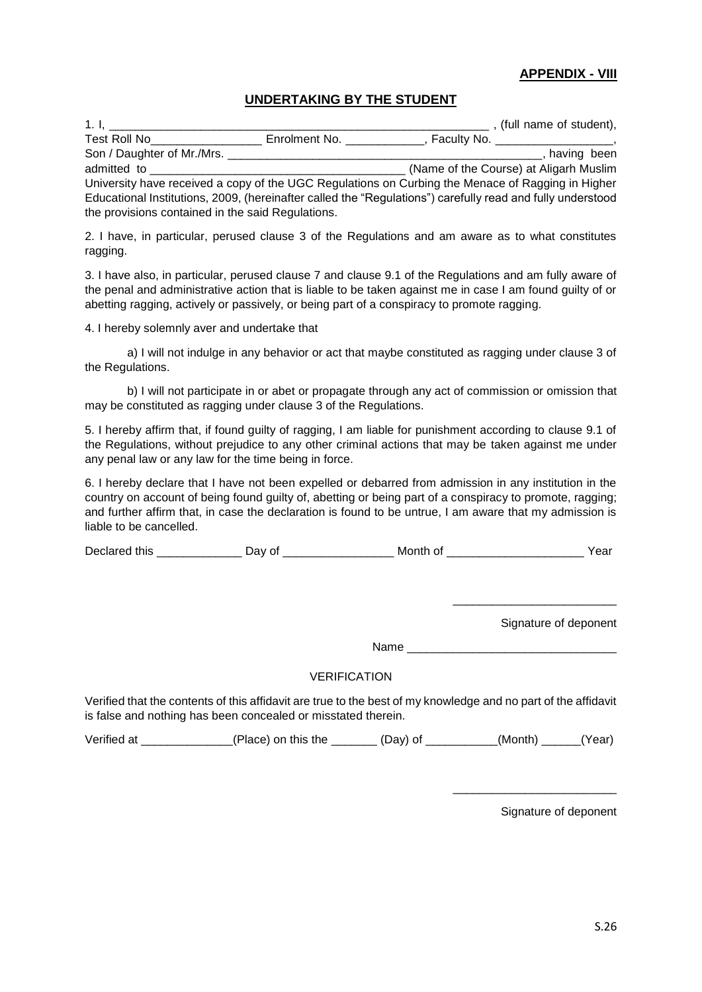## **APPENDIX - VIII**

### **UNDERTAKING BY THE STUDENT**

1. I, \_\_\_\_\_\_\_\_\_\_\_\_\_\_\_\_\_\_\_\_\_\_\_\_\_\_\_\_\_\_\_\_\_\_\_\_\_\_\_\_\_\_\_\_\_\_\_\_\_\_\_\_\_\_\_\_\_\_ , (full name of student), Test Roll No\_\_\_\_\_\_\_\_\_\_\_\_\_\_\_\_\_ Enrolment No. \_\_\_\_\_\_\_\_\_\_\_\_, Faculty No. \_\_\_\_\_\_\_\_\_\_\_\_\_\_\_\_\_\_, Son / Daughter of Mr./Mrs. **Example 2018** Son / Daughter of Mr./Mrs. admitted to **and the Course** admitted to **and the Course** at Aligarh Muslim University have received a copy of the UGC Regulations on Curbing the Menace of Ragging in Higher Educational Institutions, 2009, (hereinafter called the "Regulations") carefully read and fully understood the provisions contained in the said Regulations.

2. I have, in particular, perused clause 3 of the Regulations and am aware as to what constitutes ragging.

3. I have also, in particular, perused clause 7 and clause 9.1 of the Regulations and am fully aware of the penal and administrative action that is liable to be taken against me in case I am found guilty of or abetting ragging, actively or passively, or being part of a conspiracy to promote ragging.

4. I hereby solemnly aver and undertake that

a) I will not indulge in any behavior or act that maybe constituted as ragging under clause 3 of the Regulations.

b) I will not participate in or abet or propagate through any act of commission or omission that may be constituted as ragging under clause 3 of the Regulations.

5. I hereby affirm that, if found guilty of ragging, I am liable for punishment according to clause 9.1 of the Regulations, without prejudice to any other criminal actions that may be taken against me under any penal law or any law for the time being in force.

6. I hereby declare that I have not been expelled or debarred from admission in any institution in the country on account of being found guilty of, abetting or being part of a conspiracy to promote, ragging; and further affirm that, in case the declaration is found to be untrue, I am aware that my admission is liable to be cancelled.

Declared this \_\_\_\_\_\_\_\_\_\_\_\_\_ Day of \_\_\_\_\_\_\_\_\_\_\_\_\_\_\_\_\_ Month of \_\_\_\_\_\_\_\_\_\_\_\_\_\_\_\_\_\_\_\_\_ Year

Signature of deponent

\_\_\_\_\_\_\_\_\_\_\_\_\_\_\_\_\_\_\_\_\_\_\_\_\_

 $Name$ 

#### VERIFICATION

Verified that the contents of this affidavit are true to the best of my knowledge and no part of the affidavit is false and nothing has been concealed or misstated therein.

Verified at \_\_\_\_\_\_\_\_\_\_\_\_\_(Place) on this the \_\_\_\_\_\_\_(Day) of \_\_\_\_\_\_\_(Month) \_\_\_\_(Year)

Signature of deponent

\_\_\_\_\_\_\_\_\_\_\_\_\_\_\_\_\_\_\_\_\_\_\_\_\_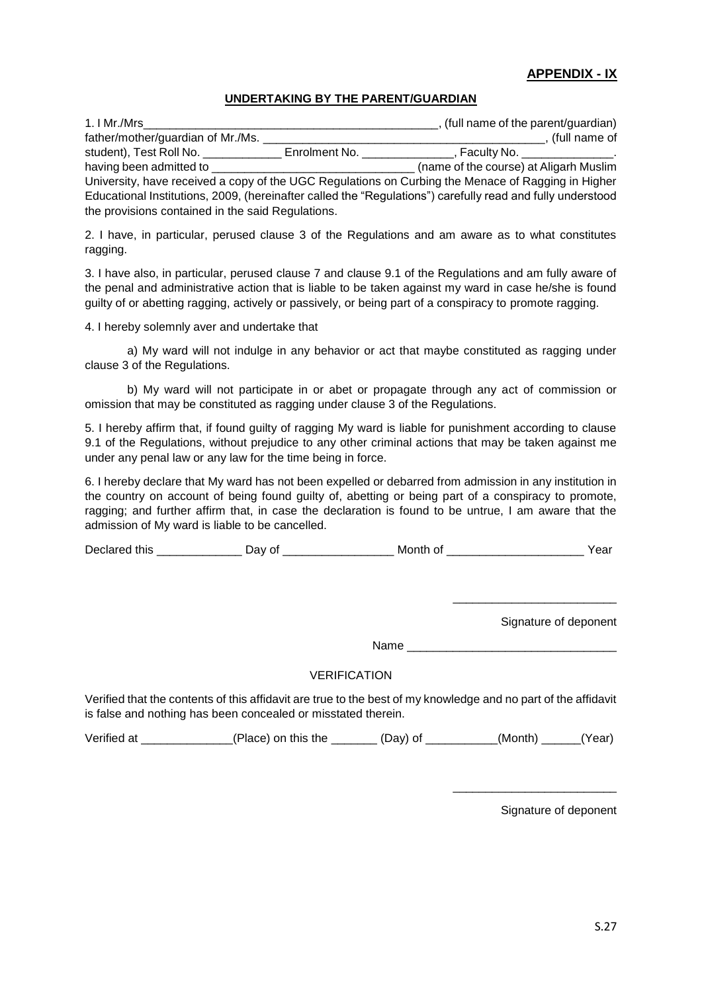## **APPENDIX - IX**

### **UNDERTAKING BY THE PARENT/GUARDIAN**

|                                                                                                            | , (full name of the parent/guardian)                                                                      |  |  |
|------------------------------------------------------------------------------------------------------------|-----------------------------------------------------------------------------------------------------------|--|--|
|                                                                                                            | (full name of                                                                                             |  |  |
|                                                                                                            | . Faculty No. _______________.                                                                            |  |  |
|                                                                                                            | (name of the course) at Aligarh Muslim                                                                    |  |  |
| University, have received a copy of the UGC Regulations on Curbing the Menace of Ragging in Higher         |                                                                                                           |  |  |
| Educational Institutions, 2009, (hereinafter called the "Regulations") carefully read and fully understood |                                                                                                           |  |  |
|                                                                                                            |                                                                                                           |  |  |
|                                                                                                            | Enrolment No.<br>having been admitted to having been<br>the provisions contained in the said Regulations. |  |  |

2. I have, in particular, perused clause 3 of the Regulations and am aware as to what constitutes ragging.

3. I have also, in particular, perused clause 7 and clause 9.1 of the Regulations and am fully aware of the penal and administrative action that is liable to be taken against my ward in case he/she is found guilty of or abetting ragging, actively or passively, or being part of a conspiracy to promote ragging.

4. I hereby solemnly aver and undertake that

a) My ward will not indulge in any behavior or act that maybe constituted as ragging under clause 3 of the Regulations.

b) My ward will not participate in or abet or propagate through any act of commission or omission that may be constituted as ragging under clause 3 of the Regulations.

5. I hereby affirm that, if found guilty of ragging My ward is liable for punishment according to clause 9.1 of the Regulations, without prejudice to any other criminal actions that may be taken against me under any penal law or any law for the time being in force.

6. I hereby declare that My ward has not been expelled or debarred from admission in any institution in the country on account of being found guilty of, abetting or being part of a conspiracy to promote, ragging; and further affirm that, in case the declaration is found to be untrue, I am aware that the admission of My ward is liable to be cancelled.

Declared this \_\_\_\_\_\_\_\_\_\_\_\_\_\_\_\_ Day of \_\_\_\_\_\_\_\_\_\_\_\_\_\_\_\_\_\_\_\_\_ Month of \_\_\_\_\_\_\_\_\_\_\_\_\_\_\_\_\_\_\_\_\_\_\_\_\_\_\_\_\_Year

Signature of deponent

\_\_\_\_\_\_\_\_\_\_\_\_\_\_\_\_\_\_\_\_\_\_\_\_\_

Name **we have a set of the set of the set of the set of the set of the set of the set of the set of the set of the set of the set of the set of the set of the set of the set of the set of the set of the set of the set of t** 

### VERIFICATION

Verified that the contents of this affidavit are true to the best of my knowledge and no part of the affidavit is false and nothing has been concealed or misstated therein.

Verified at \_\_\_\_\_\_\_\_\_\_\_\_\_\_(Place) on this the \_\_\_\_\_\_\_ (Day) of \_\_\_\_\_\_\_\_\_\_\_(Month) \_\_\_\_\_\_(Year)

Signature of deponent

\_\_\_\_\_\_\_\_\_\_\_\_\_\_\_\_\_\_\_\_\_\_\_\_\_